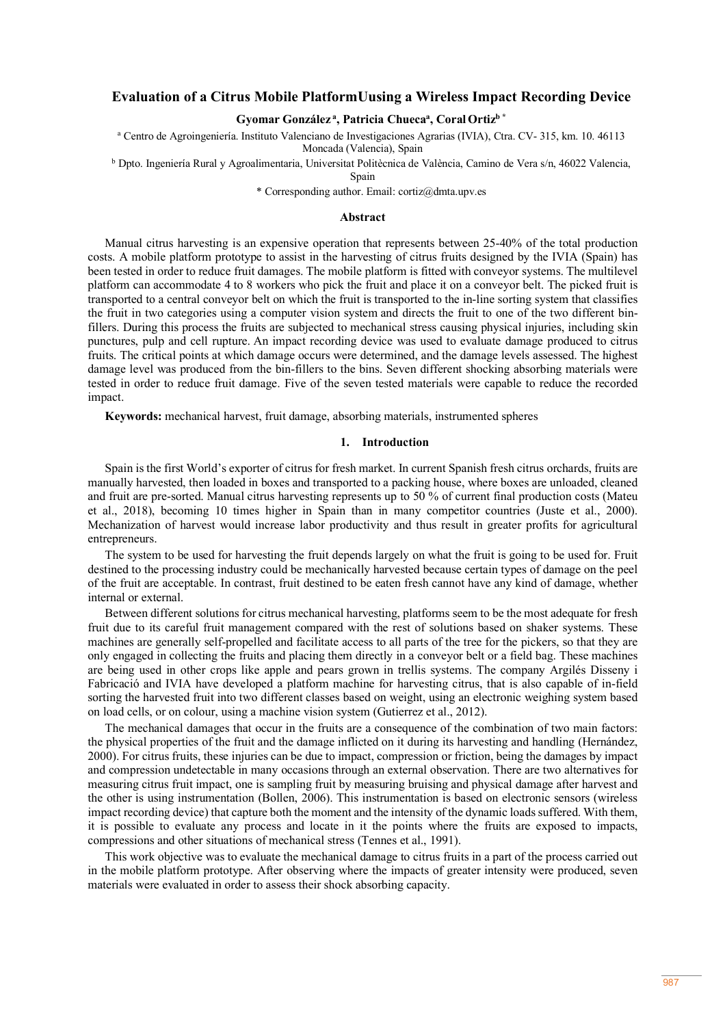# **Evaluation of a Citrus Mobile PlatformUusing a Wireless Impact Recording Device**

# $G$ yomar González<sup>a</sup>, Patricia Chueca<sup>a</sup>, Coral Ortiz<sup>b\*</sup>

<sup>a</sup> Centro de Agroingeniería. Instituto Valenciano de Investigaciones Agrarias (IVIA), Ctra. CV- 315, km. 10. 46113 Moncada (Valencia), Spain

<sup>b</sup> Dpto. Ingeniería Rural y Agroalimentaria, Universitat Politècnica de València, Camino de Vera s/n, 46022 Valencia,

Spain

\* Corresponding author. Email: cortiz@dmta.upv.es

### **Abstract**

Manual citrus harvesting is an expensive operation that represents between 25-40% of the total production costs. A mobile platform prototype to assist in the harvesting of citrus fruits designed by the IVIA (Spain) has been tested in order to reduce fruit damages. The mobile platform is fitted with conveyor systems. The multilevel platform can accommodate 4 to 8 workers who pick the fruit and place it on a conveyor belt. The picked fruit is transported to a central conveyor belt on which the fruit is transported to the in-line sorting system that classifies the fruit in two categories using a computer vision system and directs the fruit to one of the two different binfillers. During this process the fruits are subjected to mechanical stress causing physical injuries, including skin punctures, pulp and cell rupture. An impact recording device was used to evaluate damage produced to citrus fruits. The critical points at which damage occurs were determined, and the damage levels assessed. The highest damage level was produced from the bin-fillers to the bins. Seven different shocking absorbing materials were tested in order to reduce fruit damage. Five of the seven tested materials were capable to reduce the recorded impact.

**Keywords:** mechanical harvest, fruit damage, absorbing materials, instrumented spheres

## **1. Introduction**

Spain is the first World's exporter of citrus for fresh market. In current Spanish fresh citrus orchards, fruits are manually harvested, then loaded in boxes and transported to a packing house, where boxes are unloaded, cleaned and fruit are pre-sorted. Manual citrus harvesting represents up to 50 % of current final production costs (Mateu et al., 2018), becoming 10 times higher in Spain than in many competitor countries (Juste et al., 2000). Mechanization of harvest would increase labor productivity and thus result in greater profits for agricultural entrepreneurs.

The system to be used for harvesting the fruit depends largely on what the fruit is going to be used for. Fruit destined to the processing industry could be mechanically harvested because certain types of damage on the peel of the fruit are acceptable. In contrast, fruit destined to be eaten fresh cannot have any kind of damage, whether internal or external.

Between different solutions for citrus mechanical harvesting, platforms seem to be the most adequate for fresh fruit due to its careful fruit management compared with the rest of solutions based on shaker systems. These machines are generally self-propelled and facilitate access to all parts of the tree for the pickers, so that they are only engaged in collecting the fruits and placing them directly in a conveyor belt or a field bag. These machines are being used in other crops like apple and pears grown in trellis systems. The company Argilés Disseny i Fabricació and IVIA have developed a platform machine for harvesting citrus, that is also capable of in-field sorting the harvested fruit into two different classes based on weight, using an electronic weighing system based on load cells, or on colour, using a machine vision system (Gutierrez et al., 2012).

The mechanical damages that occur in the fruits are a consequence of the combination of two main factors: the physical properties of the fruit and the damage inflicted on it during its harvesting and handling (Hernández, 2000). For citrus fruits, these injuries can be due to impact, compression or friction, being the damages by impact and compression undetectable in many occasions through an external observation. There are two alternatives for measuring citrus fruit impact, one is sampling fruit by measuring bruising and physical damage after harvest and the other is using instrumentation (Bollen, 2006). This instrumentation is based on electronic sensors (wireless impact recording device) that capture both the moment and the intensity of the dynamic loads suffered. With them, it is possible to evaluate any process and locate in it the points where the fruits are exposed to impacts, compressions and other situations of mechanical stress (Tennes et al., 1991).

This work objective was to evaluate the mechanical damage to citrus fruits in a part of the process carried out in the mobile platform prototype. After observing where the impacts of greater intensity were produced, seven materials were evaluated in order to assess their shock absorbing capacity.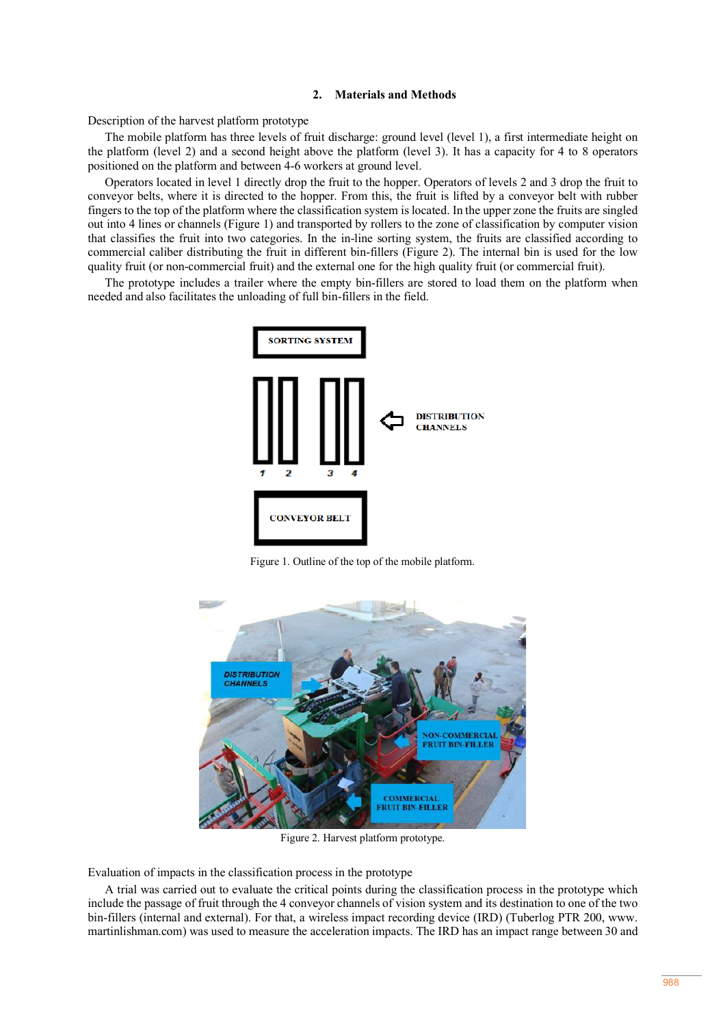## **2. Materials and Methods**

Description of the harvest platform prototype

The mobile platform has three levels of fruit discharge: ground level (level 1), a first intermediate height on the platform (level 2) and a second height above the platform (level 3). It has a capacity for 4 to 8 operators positioned on the platform and between 4-6 workers at ground level.

Operators located in level 1 directly drop the fruit to the hopper. Operators of levels 2 and 3 drop the fruit to conveyor belts, where it is directed to the hopper. From this, the fruit is lifted by a conveyor belt with rubber fingers to the top of the platform where the classification system is located. In the upper zone the fruits are singled out into 4 lines or channels (Figure 1) and transported by rollers to the zone of classification by computer vision that classifies the fruit into two categories. In the in-line sorting system, the fruits are classified according to commercial caliber distributing the fruit in different bin-fillers (Figure 2). The internal bin is used for the low quality fruit (or non-commercial fruit) and the external one for the high quality fruit (or commercial fruit).

The prototype includes a trailer where the empty bin-fillers are stored to load them on the platform when needed and also facilitates the unloading of full bin-fillers in the field.



Figure 1. Outline of the top of the mobile platform.



Figure 2. Harvest platform prototype.

Evaluation of impacts in the classification process in the prototype

A trial was carried out to evaluate the critical points during the classification process in the prototype which include the passage of fruit through the 4 conveyor channels of vision system and its destination to one of the two bin-fillers (internal and external). For that, a wireless impact recording device (IRD) (Tuberlog PTR 200, www. martinlishman.com) was used to measure the acceleration impacts. The IRD has an impact range between 30 and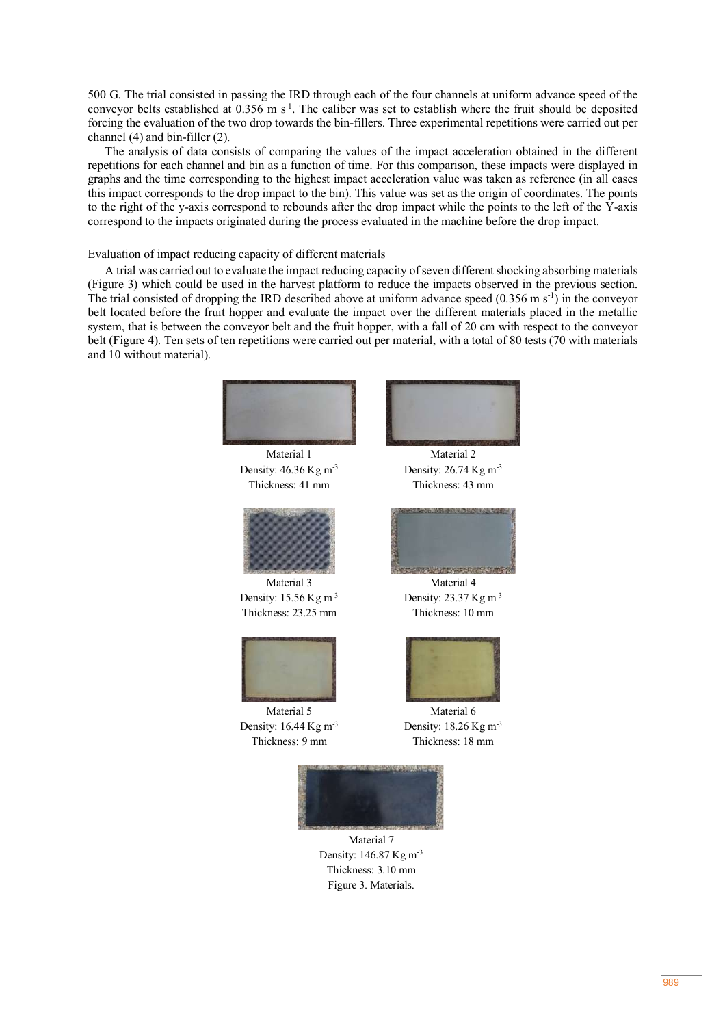500 G. The trial consisted in passing the IRD through each of the four channels at uniform advance speed of the conveyor belts established at  $0.356$  m s<sup>-1</sup>. The caliber was set to establish where the fruit should be deposited forcing the evaluation of the two drop towards the bin-fillers. Three experimental repetitions were carried out per channel (4) and bin-filler (2).

The analysis of data consists of comparing the values of the impact acceleration obtained in the different repetitions for each channel and bin as a function of time. For this comparison, these impacts were displayed in graphs and the time corresponding to the highest impact acceleration value was taken as reference (in all cases this impact corresponds to the drop impact to the bin). This value was set as the origin of coordinates. The points to the right of the y-axis correspond to rebounds after the drop impact while the points to the left of the Y-axis correspond to the impacts originated during the process evaluated in the machine before the drop impact.

## Evaluation of impact reducing capacity of different materials

A trial was carried out to evaluate the impact reducing capacity of seven different shocking absorbing materials (Figure 3) which could be used in the harvest platform to reduce the impacts observed in the previous section. The trial consisted of dropping the IRD described above at uniform advance speed  $(0.356 \text{ m s}^{-1})$  in the conveyor belt located before the fruit hopper and evaluate the impact over the different materials placed in the metallic system, that is between the conveyor belt and the fruit hopper, with a fall of 20 cm with respect to the conveyor belt (Figure 4). Ten sets of ten repetitions were carried out per material, with a total of 80 tests (70 with materials and 10 without material).



Material 1 Density: 46.36 Kg m-3 Thickness: 41 mm



Density: 15.56 Kg m-3 Thickness: 23.25 mm



Density: 16.44 Kg m-3 Thickness: 9 mm



Material 2 Density: 26.74 Kg m-3 Thickness: 43 mm



Material 4 Density: 23.37 Kg m-3 Thickness: 10 mm



Material 6 Density: 18.26 Kg m-3 Thickness: 18 mm



Material 7 Density: 146.87 Kg m-3 Thickness: 3.10 mm Figure 3. Materials.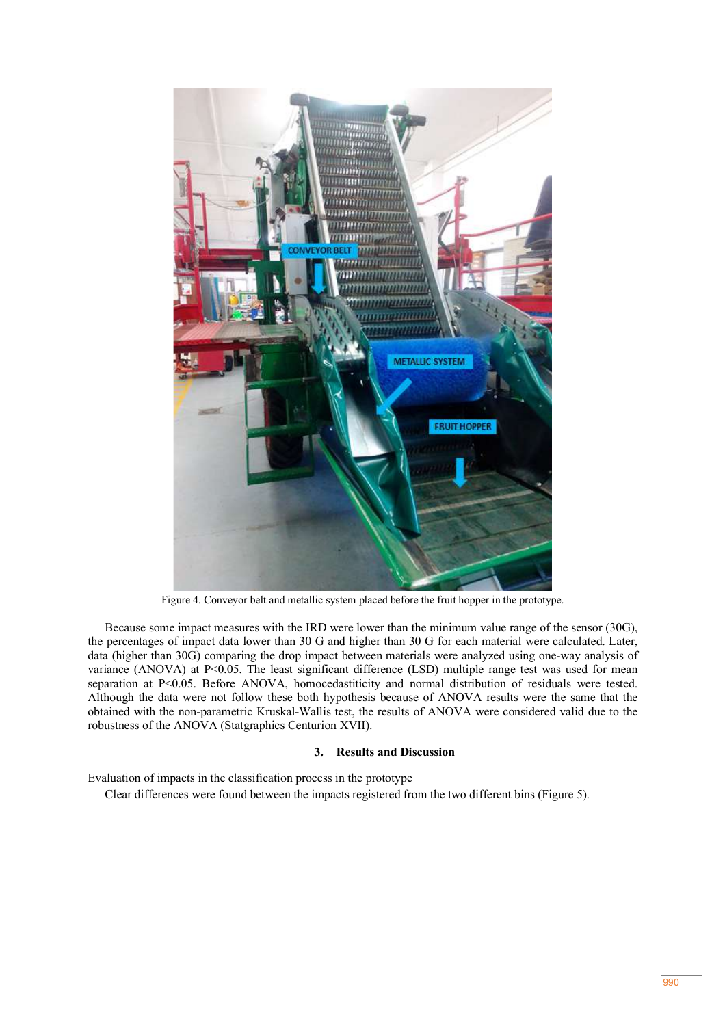

Figure 4. Conveyor belt and metallic system placed before the fruit hopper in the prototype.

Because some impact measures with the IRD were lower than the minimum value range of the sensor (30G), the percentages of impact data lower than 30 G and higher than 30 G for each material were calculated. Later, data (higher than 30G) comparing the drop impact between materials were analyzed using one-way analysis of variance (ANOVA) at P<0.05. The least significant difference (LSD) multiple range test was used for mean separation at P<0.05. Before ANOVA, homocedastiticity and normal distribution of residuals were tested. Although the data were not follow these both hypothesis because of ANOVA results were the same that the obtained with the non-parametric Kruskal-Wallis test, the results of ANOVA were considered valid due to the robustness of the ANOVA (Statgraphics Centurion XVII).

# **3. Results and Discussion**

Evaluation of impacts in the classification process in the prototype

Clear differences were found between the impacts registered from the two different bins (Figure 5).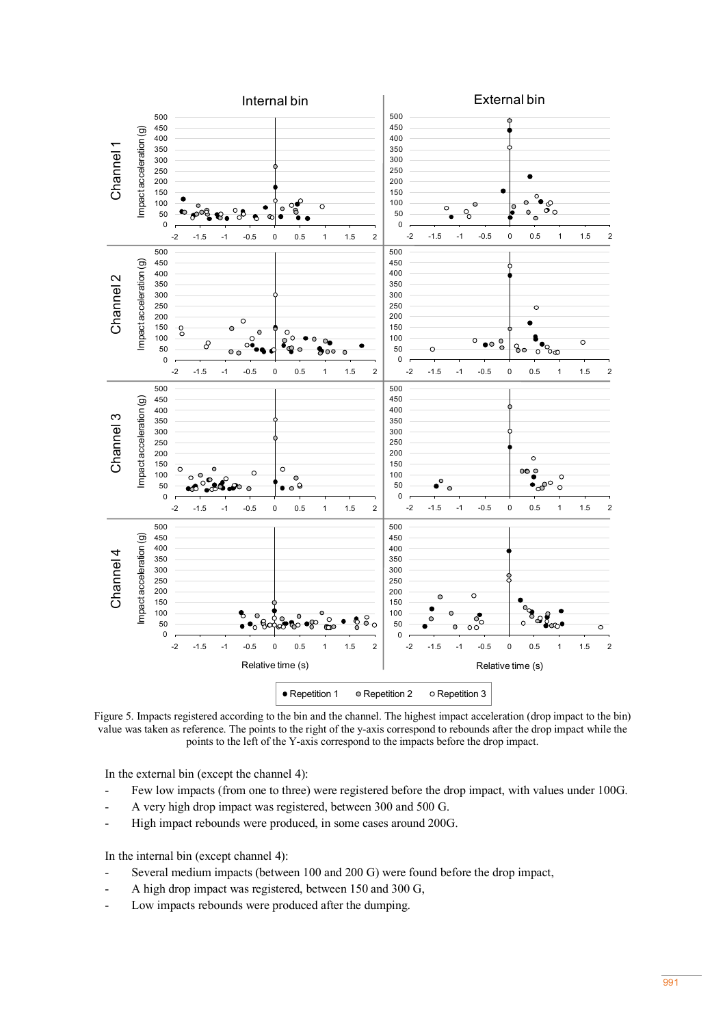

Figure 5. Impacts registered according to the bin and the channel. The highest impact acceleration (drop impact to the bin) value was taken as reference. The points to the right of the y-axis correspond to rebounds after the drop impact while the points to the left of the Y-axis correspond to the impacts before the drop impact. Impact acceleration (g)

In the external bin (except the channel 4):

- Few low impacts (from one to three) were registered before the drop impact, with values under 100G.
- A very high drop impact was registered, between 300 and 500 G.
- High impact rebounds were produced, in some cases around 200G.

In the internal bin (except channel 4):

- Several medium impacts (between 100 and 200 G) were found before the drop impact,
- A high drop impact was registered, between 150 and 300 G.
- Low impacts rebounds were produced after the dumping.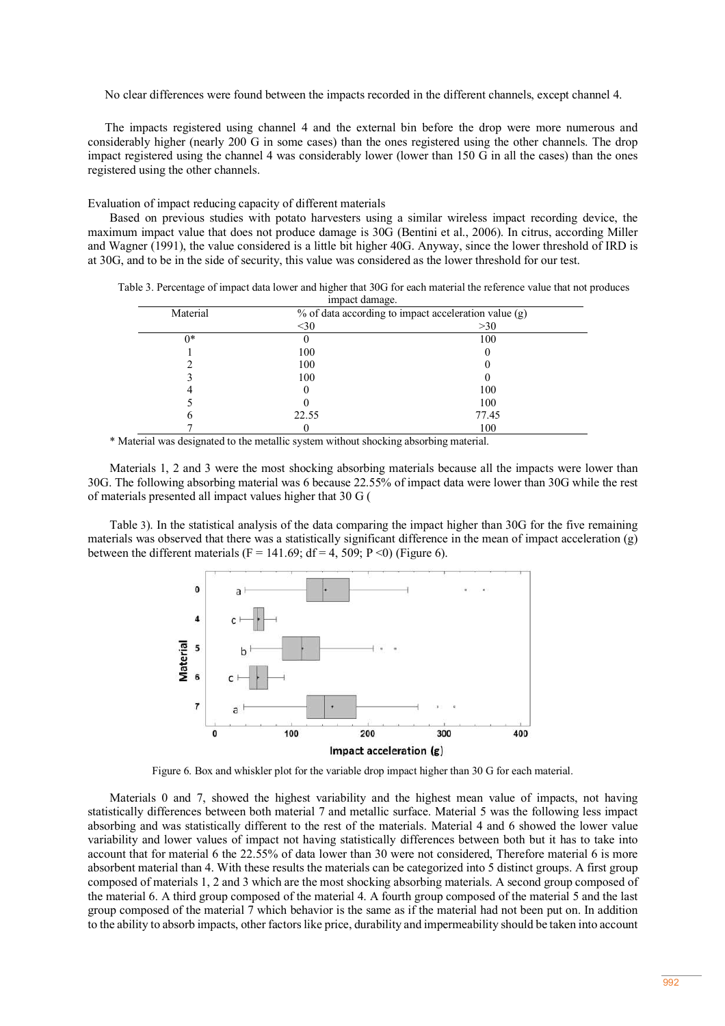No clear differences were found between the impacts recorded in the different channels, except channel 4.

The impacts registered using channel 4 and the external bin before the drop were more numerous and considerably higher (nearly 200 G in some cases) than the ones registered using the other channels. The drop impact registered using the channel 4 was considerably lower (lower than 150 G in all the cases) than the ones registered using the other channels.

Evaluation of impact reducing capacity of different materials

Based on previous studies with potato harvesters using a similar wireless impact recording device, the maximum impact value that does not produce damage is 30G (Bentini et al., 2006). In citrus, according Miller and Wagner (1991), the value considered is a little bit higher 40G. Anyway, since the lower threshold of IRD is at 30G, and to be in the side of security, this value was considered as the lower threshold for our test.

| Table 3. Percentage of impact data lower and higher that 30G for each material the reference value that not produces |                |  |
|----------------------------------------------------------------------------------------------------------------------|----------------|--|
|                                                                                                                      | impact damage. |  |

| Material | % of data according to impact acceleration value (g) |       |
|----------|------------------------------------------------------|-------|
|          | $30$                                                 | >30   |
| $0*$     |                                                      | 100   |
|          | 100                                                  |       |
|          | 100                                                  |       |
|          | 100                                                  |       |
|          |                                                      | 100   |
|          |                                                      | 100   |
|          | 22.55                                                | 77.45 |
|          |                                                      | 100   |

\* Material was designated to the metallic system without shocking absorbing material.

Materials 1, 2 and 3 were the most shocking absorbing materials because all the impacts were lower than 30G. The following absorbing material was 6 because 22.55% of impact data were lower than 30G while the rest of materials presented all impact values higher that 30 G (

Table 3). In the statistical analysis of the data comparing the impact higher than 30G for the five remaining materials was observed that there was a statistically significant difference in the mean of impact acceleration (g) between the different materials (F = 141.69; df = 4, 509; P < 0) (Figure 6).



Figure 6. Box and whiskler plot for the variable drop impact higher than 30 G for each material.

Materials 0 and 7, showed the highest variability and the highest mean value of impacts, not having statistically differences between both material 7 and metallic surface. Material 5 was the following less impact absorbing and was statistically different to the rest of the materials. Material 4 and 6 showed the lower value variability and lower values of impact not having statistically differences between both but it has to take into account that for material 6 the 22.55% of data lower than 30 were not considered, Therefore material 6 is more absorbent material than 4. With these results the materials can be categorized into 5 distinct groups. A first group composed of materials 1, 2 and 3 which are the most shocking absorbing materials. A second group composed of the material 6. A third group composed of the material 4. A fourth group composed of the material 5 and the last group composed of the material 7 which behavior is the same as if the material had not been put on. In addition to the ability to absorb impacts, other factors like price, durability and impermeability should be taken into account